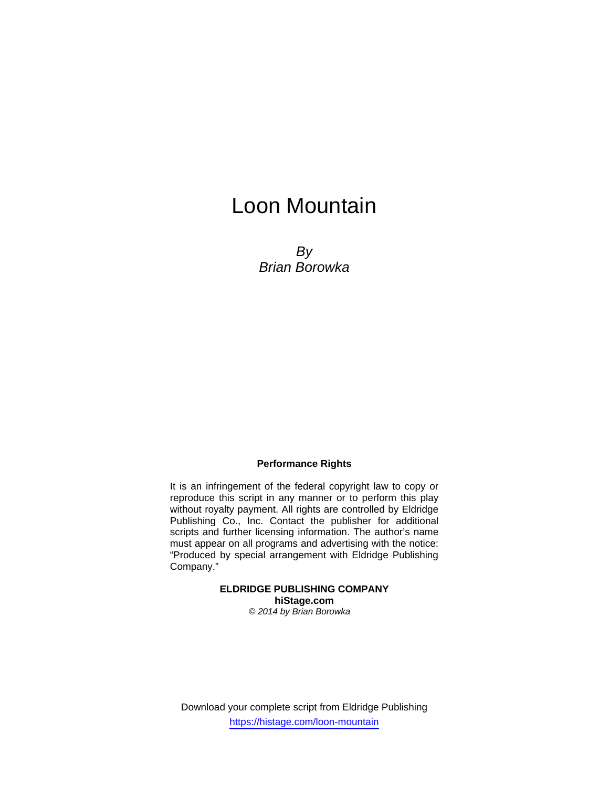# Loon Mountain

*By Brian Borowka* 

## **Performance Rights**

It is an infringement of the federal copyright law to copy or reproduce this script in any manner or to perform this play without royalty payment. All rights are controlled by Eldridge Publishing Co., Inc. Contact the publisher for additional scripts and further licensing information. The author's name must appear on all programs and advertising with the notice: "Produced by special arrangement with Eldridge Publishing Company."

> **ELDRIDGE PUBLISHING COMPANY hiStage.com**  *© 2014 by Brian Borowka*

Download your complete script from Eldridge Publishing https://histage.com/loon-mountain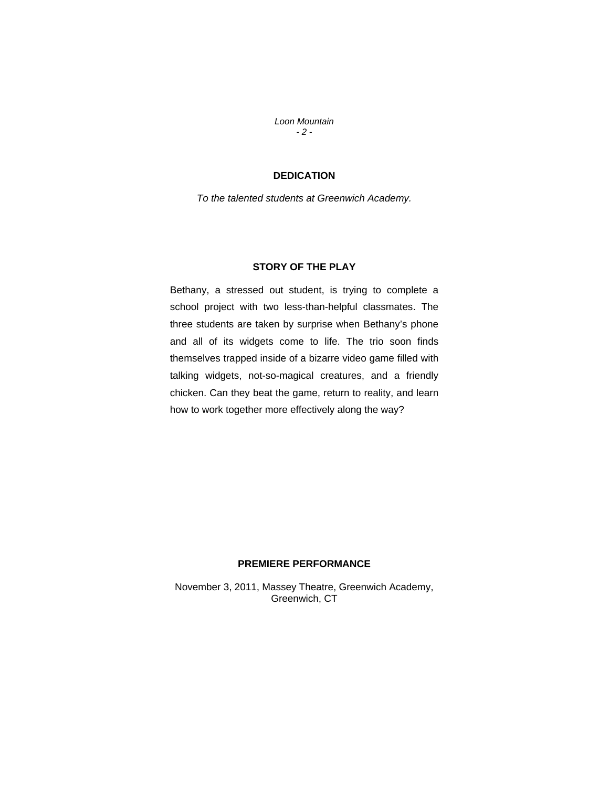*Loon Mountain - 2 -* 

# **DEDICATION**

*To the talented students at Greenwich Academy.* 

## **STORY OF THE PLAY**

Bethany, a stressed out student, is trying to complete a school project with two less-than-helpful classmates. The three students are taken by surprise when Bethany's phone and all of its widgets come to life. The trio soon finds themselves trapped inside of a bizarre video game filled with talking widgets, not-so-magical creatures, and a friendly chicken. Can they beat the game, return to reality, and learn how to work together more effectively along the way?

#### **PREMIERE PERFORMANCE**

November 3, 2011, Massey Theatre, Greenwich Academy, Greenwich, CT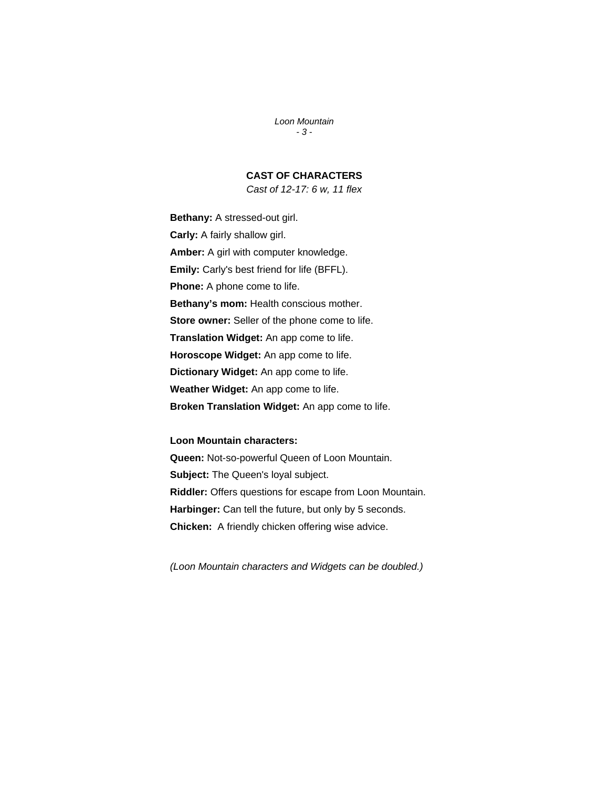*Loon Mountain - 3 -* 

# **CAST OF CHARACTERS**

*Cast of 12-17: 6 w, 11 flex* 

**Bethany:** A stressed-out girl. **Carly:** A fairly shallow girl. **Amber:** A girl with computer knowledge. **Emily:** Carly's best friend for life (BFFL). **Phone:** A phone come to life. **Bethany's mom:** Health conscious mother. **Store owner:** Seller of the phone come to life. **Translation Widget:** An app come to life. **Horoscope Widget:** An app come to life. **Dictionary Widget:** An app come to life. **Weather Widget:** An app come to life. **Broken Translation Widget:** An app come to life.

#### **Loon Mountain characters:**

**Queen:** Not-so-powerful Queen of Loon Mountain. **Subject:** The Queen's loyal subject. **Riddler:** Offers questions for escape from Loon Mountain. **Harbinger:** Can tell the future, but only by 5 seconds. **Chicken:** A friendly chicken offering wise advice.

*(Loon Mountain characters and Widgets can be doubled.)*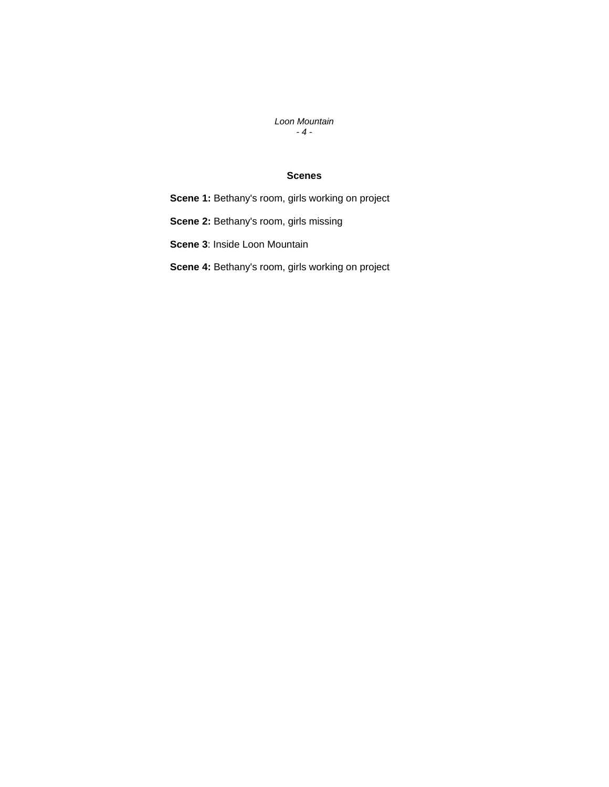*Loon Mountain - 4 -* 

## **Scenes**

**Scene 1:** Bethany's room, girls working on project

**Scene 2:** Bethany's room, girls missing

**Scene 3**: Inside Loon Mountain

**Scene 4:** Bethany's room, girls working on project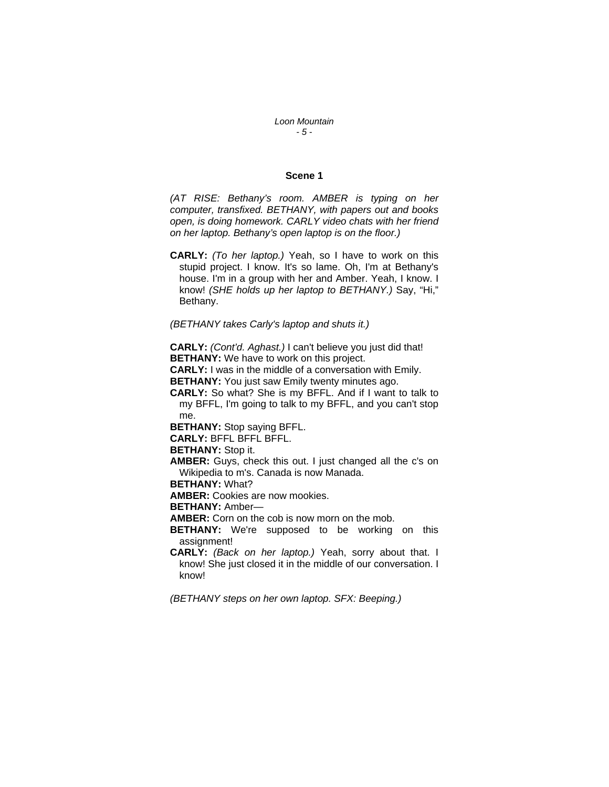#### *Loon Mountain - 5 -*

#### **Scene 1**

*(AT RISE: Bethany's room. AMBER is typing on her computer, transfixed. BETHANY, with papers out and books open, is doing homework. CARLY video chats with her friend on her laptop. Bethany's open laptop is on the floor.)* 

**CARLY:** *(To her laptop.)* Yeah, so I have to work on this stupid project. I know. It's so lame. Oh, I'm at Bethany's house. I'm in a group with her and Amber. Yeah, I know. I know! *(SHE holds up her laptop to BETHANY.)* Say, "Hi," Bethany.

#### *(BETHANY takes Carly's laptop and shuts it.)*

**CARLY:** *(Cont'd. Aghast.)* I can't believe you just did that! **BETHANY:** We have to work on this project.

**CARLY:** I was in the middle of a conversation with Emily.

**BETHANY:** You just saw Emily twenty minutes ago.

**CARLY:** So what? She is my BFFL. And if I want to talk to my BFFL, I'm going to talk to my BFFL, and you can't stop me.

**BETHANY:** Stop saying BFFL.

**CARLY:** BFFL BFFL BFFL.

**BETHANY:** Stop it.

**AMBER:** Guys, check this out. I just changed all the c's on Wikipedia to m's. Canada is now Manada.

**BETHANY:** What?

**AMBER:** Cookies are now mookies.

**BETHANY:** Amber—

**AMBER:** Corn on the cob is now morn on the mob.

**BETHANY:** We're supposed to be working on this assignment!

**CARLY:** *(Back on her laptop.)* Yeah, sorry about that. I know! She just closed it in the middle of our conversation. I know!

*(BETHANY steps on her own laptop. SFX: Beeping.)*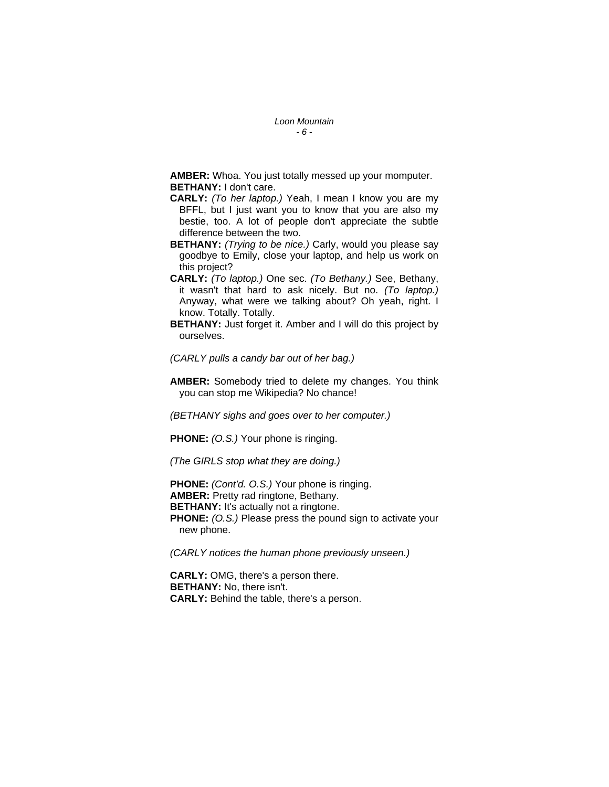**AMBER:** Whoa. You just totally messed up your momputer. **BETHANY:** I don't care.

- **CARLY:** *(To her laptop.)* Yeah, I mean I know you are my BFFL, but I just want you to know that you are also my bestie, too. A lot of people don't appreciate the subtle difference between the two.
- **BETHANY:** *(Trying to be nice.)* Carly, would you please say goodbye to Emily, close your laptop, and help us work on this project?
- **CARLY:** *(To laptop.)* One sec. *(To Bethany.)* See, Bethany, it wasn't that hard to ask nicely. But no. *(To laptop.)* Anyway, what were we talking about? Oh yeah, right. I know. Totally. Totally.
- **BETHANY:** Just forget it. Amber and I will do this project by ourselves.

*(CARLY pulls a candy bar out of her bag.)* 

**AMBER:** Somebody tried to delete my changes. You think you can stop me Wikipedia? No chance!

*(BETHANY sighs and goes over to her computer.)* 

**PHONE:** *(O.S.)* Your phone is ringing.

*(The GIRLS stop what they are doing.)* 

**PHONE:** *(Cont'd. O.S.)* Your phone is ringing. **AMBER:** Pretty rad ringtone, Bethany. **BETHANY:** It's actually not a ringtone. **PHONE:** *(O.S.)* Please press the pound sign to activate your new phone.

*(CARLY notices the human phone previously unseen.)* 

**CARLY:** OMG, there's a person there. **BETHANY:** No, there isn't. **CARLY:** Behind the table, there's a person.